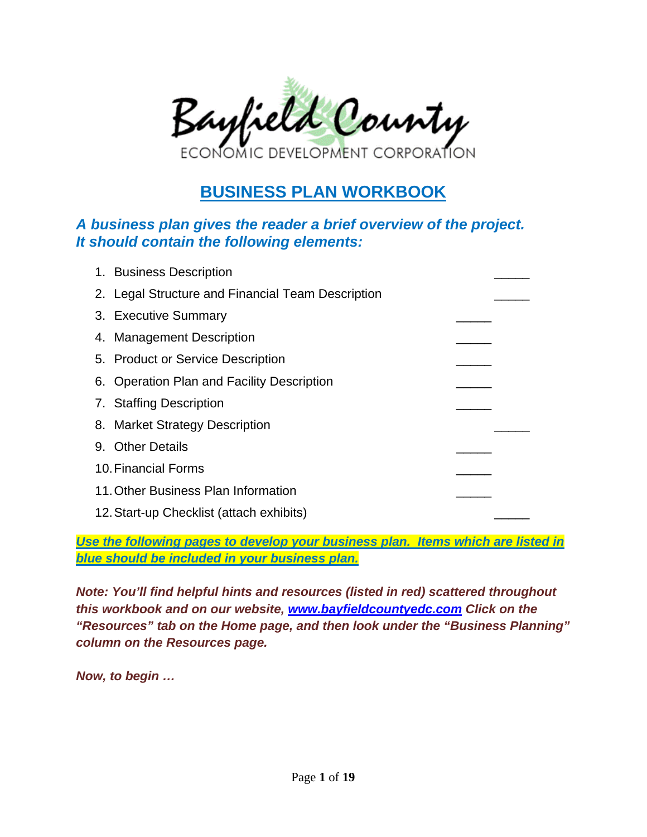

# **BUSINESS PLAN WORKBOOK**

#### *A business plan gives the reader a brief overview of the project. It should contain the following elements:*

| 1. Business Description                           |  |
|---------------------------------------------------|--|
| 2. Legal Structure and Financial Team Description |  |
| 3. Executive Summary                              |  |
| 4. Management Description                         |  |
| 5. Product or Service Description                 |  |
| 6. Operation Plan and Facility Description        |  |
| 7. Staffing Description                           |  |
| 8. Market Strategy Description                    |  |
| 9. Other Details                                  |  |
| 10. Financial Forms                               |  |
| 11. Other Business Plan Information               |  |
| 12. Start-up Checklist (attach exhibits)          |  |

*Use the following pages to develop your business plan. Items which are listed in blue should be included in your business plan.* 

*Note: You'll find helpful hints and resources (listed in red) scattered throughout this workbook and on our website, www.bayfieldcountyedc.com Click on the "Resources" tab on the Home page, and then look under the "Business Planning" column on the Resources page.*

*Now, to begin …*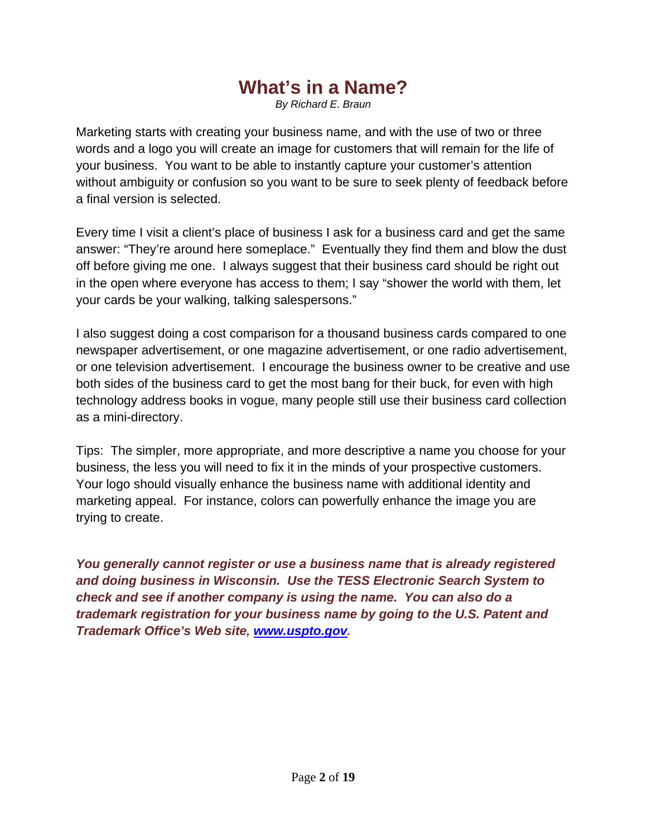# **What's in a Name?**

*By Richard E. Braun* 

Marketing starts with creating your business name, and with the use of two or three words and a logo you will create an image for customers that will remain for the life of your business. You want to be able to instantly capture your customer's attention without ambiguity or confusion so you want to be sure to seek plenty of feedback before a final version is selected.

Every time I visit a client's place of business I ask for a business card and get the same answer: "They're around here someplace." Eventually they find them and blow the dust off before giving me one. I always suggest that their business card should be right out in the open where everyone has access to them; I say "shower the world with them, let your cards be your walking, talking salespersons."

I also suggest doing a cost comparison for a thousand business cards compared to one newspaper advertisement, or one magazine advertisement, or one radio advertisement, or one television advertisement. I encourage the business owner to be creative and use both sides of the business card to get the most bang for their buck, for even with high technology address books in vogue, many people still use their business card collection as a mini-directory.

Tips: The simpler, more appropriate, and more descriptive a name you choose for your business, the less you will need to fix it in the minds of your prospective customers. Your logo should visually enhance the business name with additional identity and marketing appeal. For instance, colors can powerfully enhance the image you are trying to create.

*You generally cannot register or use a business name that is already registered and doing business in Wisconsin. Use the TESS Electronic Search System to check and see if another company is using the name. You can also do a trademark registration for your business name by going to the U.S. Patent and Trademark Office's Web site, www.uspto.gov.*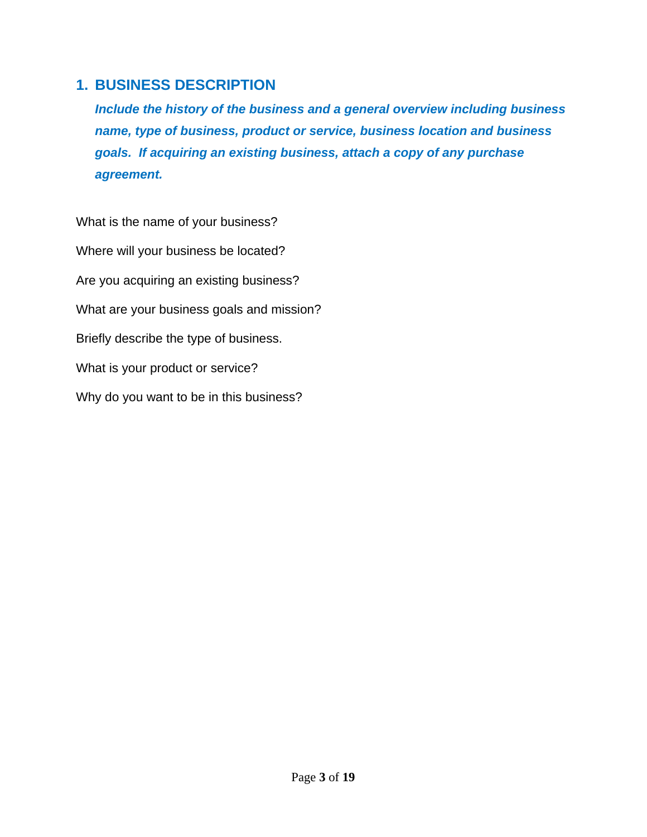#### **1. BUSINESS DESCRIPTION**

*Include the history of the business and a general overview including business name, type of business, product or service, business location and business goals. If acquiring an existing business, attach a copy of any purchase agreement.* 

What is the name of your business? Where will your business be located? Are you acquiring an existing business? What are your business goals and mission? Briefly describe the type of business. What is your product or service? Why do you want to be in this business?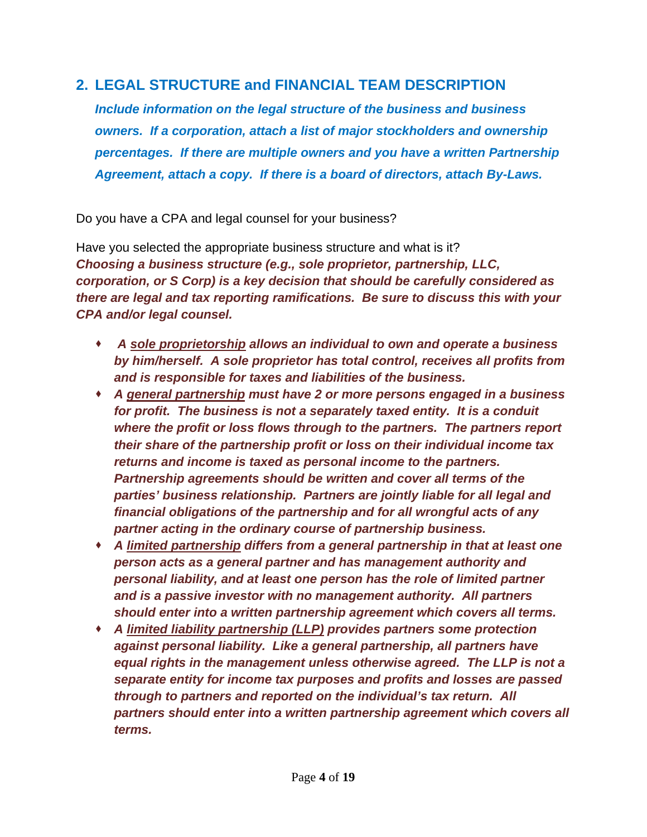#### **2. LEGAL STRUCTURE and FINANCIAL TEAM DESCRIPTION**

*Include information on the legal structure of the business and business owners. If a corporation, attach a list of major stockholders and ownership percentages. If there are multiple owners and you have a written Partnership Agreement, attach a copy. If there is a board of directors, attach By-Laws.* 

Do you have a CPA and legal counsel for your business?

Have you selected the appropriate business structure and what is it? *Choosing a business structure (e.g., sole proprietor, partnership, LLC, corporation, or S Corp) is a key decision that should be carefully considered as there are legal and tax reporting ramifications. Be sure to discuss this with your CPA and/or legal counsel.* 

- *A sole proprietorship allows an individual to own and operate a business by him/herself. A sole proprietor has total control, receives all profits from and is responsible for taxes and liabilities of the business.*
- *A general partnership must have 2 or more persons engaged in a business for profit. The business is not a separately taxed entity. It is a conduit where the profit or loss flows through to the partners. The partners report their share of the partnership profit or loss on their individual income tax returns and income is taxed as personal income to the partners. Partnership agreements should be written and cover all terms of the parties' business relationship. Partners are jointly liable for all legal and financial obligations of the partnership and for all wrongful acts of any partner acting in the ordinary course of partnership business.*
- *A limited partnership differs from a general partnership in that at least one person acts as a general partner and has management authority and personal liability, and at least one person has the role of limited partner and is a passive investor with no management authority. All partners should enter into a written partnership agreement which covers all terms.*
- *A limited liability partnership (LLP) provides partners some protection against personal liability. Like a general partnership, all partners have equal rights in the management unless otherwise agreed. The LLP is not a separate entity for income tax purposes and profits and losses are passed through to partners and reported on the individual's tax return. All partners should enter into a written partnership agreement which covers all terms.*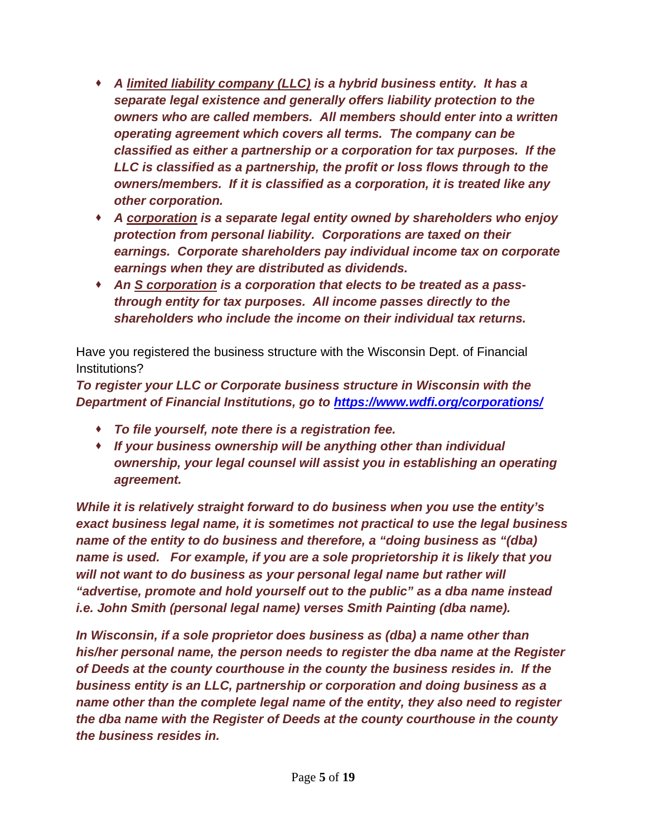- *A limited liability company (LLC) is a hybrid business entity. It has a separate legal existence and generally offers liability protection to the owners who are called members. All members should enter into a written operating agreement which covers all terms. The company can be classified as either a partnership or a corporation for tax purposes. If the LLC is classified as a partnership, the profit or loss flows through to the owners/members. If it is classified as a corporation, it is treated like any other corporation.*
- *A corporation is a separate legal entity owned by shareholders who enjoy protection from personal liability. Corporations are taxed on their earnings. Corporate shareholders pay individual income tax on corporate earnings when they are distributed as dividends.*
- *An S corporation is a corporation that elects to be treated as a passthrough entity for tax purposes. All income passes directly to the shareholders who include the income on their individual tax returns.*

Have you registered the business structure with the Wisconsin Dept. of Financial Institutions?

*To register your LLC or Corporate business structure in Wisconsin with the Department of Financial Institutions, go to https://www.wdfi.org/corporations/*

- *To file yourself, note there is a registration fee.*
- *If your business ownership will be anything other than individual ownership, your legal counsel will assist you in establishing an operating agreement.*

*While it is relatively straight forward to do business when you use the entity's exact business legal name, it is sometimes not practical to use the legal business name of the entity to do business and therefore, a "doing business as "(dba) name is used. For example, if you are a sole proprietorship it is likely that you will not want to do business as your personal legal name but rather will "advertise, promote and hold yourself out to the public" as a dba name instead i.e. John Smith (personal legal name) verses Smith Painting (dba name).* 

*In Wisconsin, if a sole proprietor does business as (dba) a name other than his/her personal name, the person needs to register the dba name at the Register of Deeds at the county courthouse in the county the business resides in. If the business entity is an LLC, partnership or corporation and doing business as a name other than the complete legal name of the entity, they also need to register the dba name with the Register of Deeds at the county courthouse in the county the business resides in.*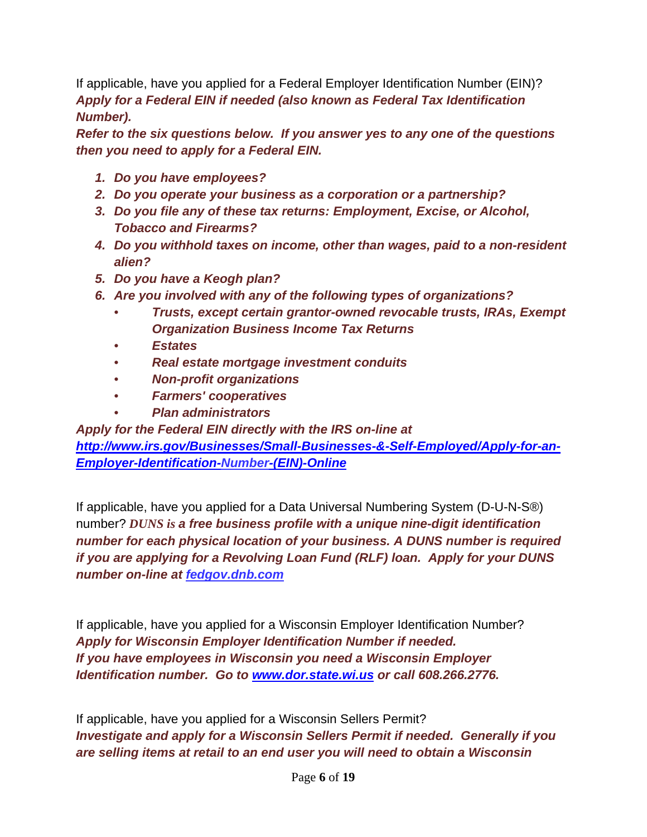If applicable, have you applied for a Federal Employer Identification Number (EIN)? *Apply for a Federal EIN if needed (also known as Federal Tax Identification Number).* 

*Refer to the six questions below. If you answer yes to any one of the questions then you need to apply for a Federal EIN.* 

- *1. Do you have employees?*
- *2. Do you operate your business as a corporation or a partnership?*
- *3. Do you file any of these tax returns: Employment, Excise, or Alcohol, Tobacco and Firearms?*
- *4. Do you withhold taxes on income, other than wages, paid to a non-resident alien?*
- *5. Do you have a Keogh plan?*
- *6. Are you involved with any of the following types of organizations?* 
	- *Trusts, except certain grantor-owned revocable trusts, IRAs, Exempt Organization Business Income Tax Returns*
	- *Estates*
	- *Real estate mortgage investment conduits*
	- *Non-profit organizations*
	- *Farmers' cooperatives*
	- *Plan administrators*

#### *Apply for the Federal EIN directly with the IRS on-line at*

*http://www.irs.gov/Businesses/Small-Businesses-&-Self-Employed/Apply-for-an-Employer-Identification-Number-(EIN)-Online* 

If applicable, have you applied for a Data Universal Numbering System (D-U-N-S®) number? *DUNS is a free business profile with a unique nine-digit identification number for each physical location of your business. A DUNS number is required if you are applying for a Revolving Loan Fund (RLF) loan. Apply for your DUNS number on-line at fedgov.dnb.com*

If applicable, have you applied for a Wisconsin Employer Identification Number? *Apply for Wisconsin Employer Identification Number if needed. If you have employees in Wisconsin you need a Wisconsin Employer Identification number. Go to www.dor.state.wi.us or call 608.266.2776.*

If applicable, have you applied for a Wisconsin Sellers Permit? *Investigate and apply for a Wisconsin Sellers Permit if needed. Generally if you are selling items at retail to an end user you will need to obtain a Wisconsin*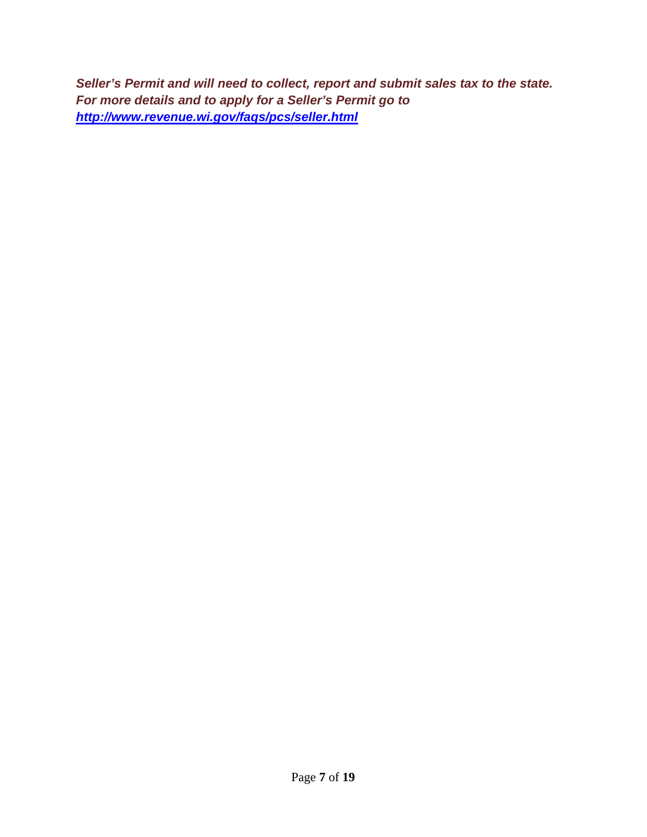*Seller's Permit and will need to collect, report and submit sales tax to the state. For more details and to apply for a Seller's Permit go to http://www.revenue.wi.gov/faqs/pcs/seller.html*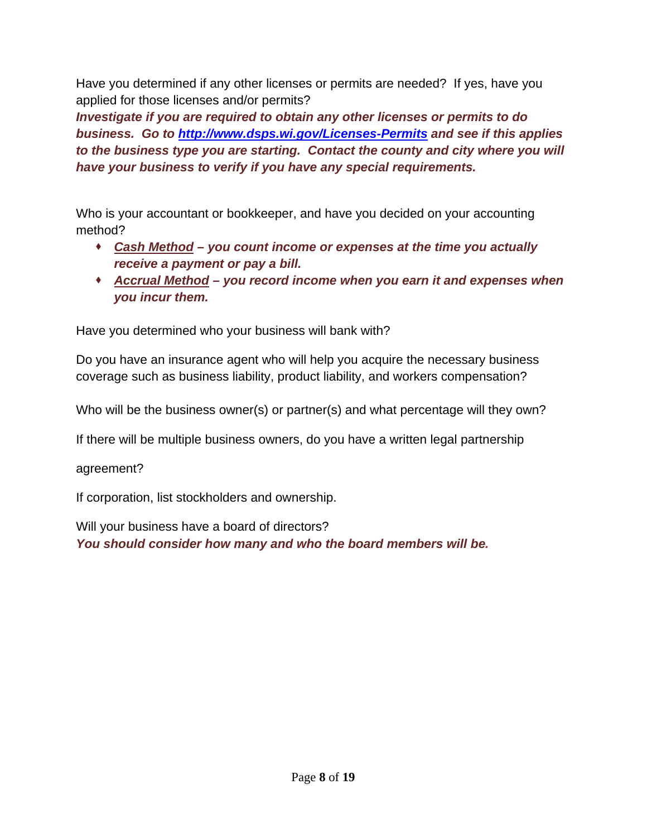Have you determined if any other licenses or permits are needed? If yes, have you applied for those licenses and/or permits?

*Investigate if you are required to obtain any other licenses or permits to do business. Go to http://www.dsps.wi.gov/Licenses-Permits and see if this applies to the business type you are starting. Contact the county and city where you will have your business to verify if you have any special requirements.* 

Who is your accountant or bookkeeper, and have you decided on your accounting method?

- *Cash Method you count income or expenses at the time you actually receive a payment or pay a bill.*
- *Accrual Method you record income when you earn it and expenses when you incur them.*

Have you determined who your business will bank with?

Do you have an insurance agent who will help you acquire the necessary business coverage such as business liability, product liability, and workers compensation?

Who will be the business owner(s) or partner(s) and what percentage will they own?

If there will be multiple business owners, do you have a written legal partnership

agreement?

If corporation, list stockholders and ownership.

Will your business have a board of directors? *You should consider how many and who the board members will be.*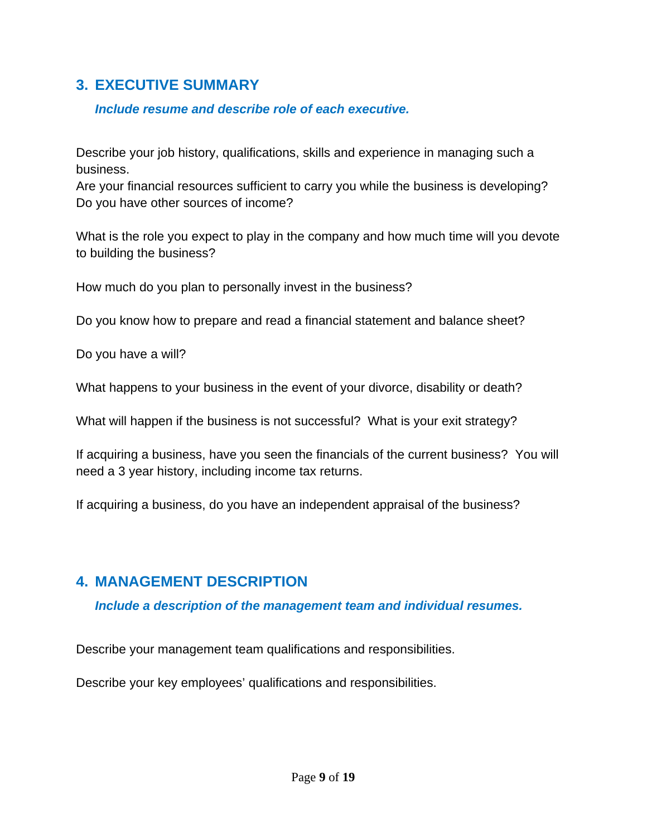#### **3. EXECUTIVE SUMMARY**

#### *Include resume and describe role of each executive.*

Describe your job history, qualifications, skills and experience in managing such a business.

Are your financial resources sufficient to carry you while the business is developing? Do you have other sources of income?

What is the role you expect to play in the company and how much time will you devote to building the business?

How much do you plan to personally invest in the business?

Do you know how to prepare and read a financial statement and balance sheet?

Do you have a will?

What happens to your business in the event of your divorce, disability or death?

What will happen if the business is not successful? What is your exit strategy?

If acquiring a business, have you seen the financials of the current business? You will need a 3 year history, including income tax returns.

If acquiring a business, do you have an independent appraisal of the business?

# **4. MANAGEMENT DESCRIPTION**

#### *Include a description of the management team and individual resumes.*

Describe your management team qualifications and responsibilities.

Describe your key employees' qualifications and responsibilities.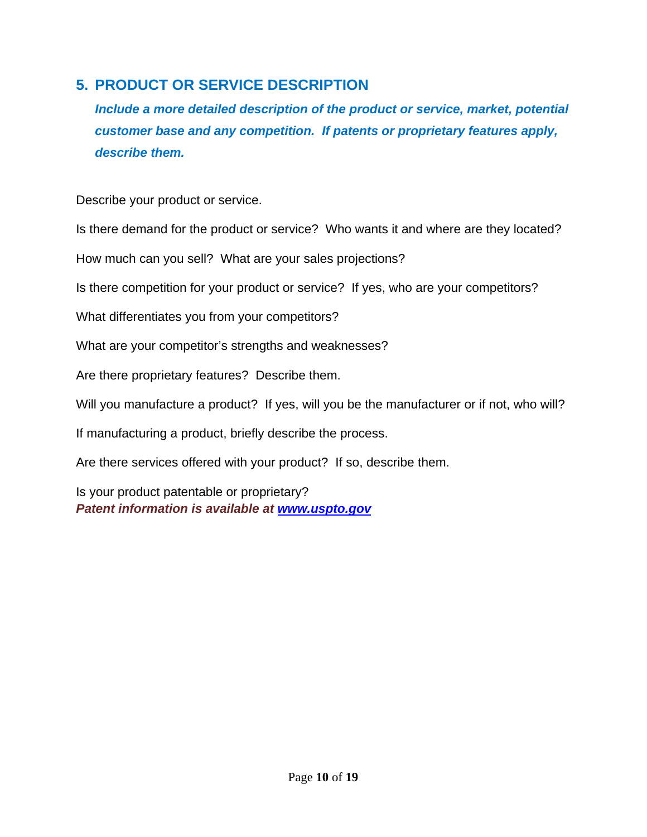## **5. PRODUCT OR SERVICE DESCRIPTION**

*Include a more detailed description of the product or service, market, potential customer base and any competition. If patents or proprietary features apply, describe them.* 

Describe your product or service.

Is there demand for the product or service? Who wants it and where are they located?

How much can you sell? What are your sales projections?

Is there competition for your product or service? If yes, who are your competitors?

What differentiates you from your competitors?

What are your competitor's strengths and weaknesses?

Are there proprietary features? Describe them.

Will you manufacture a product? If yes, will you be the manufacturer or if not, who will?

If manufacturing a product, briefly describe the process.

Are there services offered with your product? If so, describe them.

Is your product patentable or proprietary? *Patent information is available at www.uspto.gov*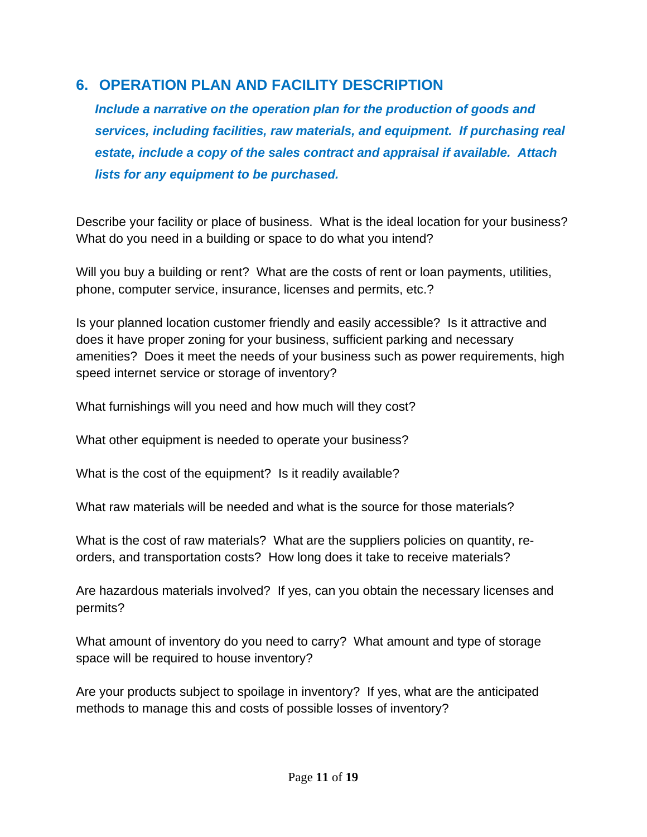#### **6. OPERATION PLAN AND FACILITY DESCRIPTION**

*Include a narrative on the operation plan for the production of goods and services, including facilities, raw materials, and equipment. If purchasing real estate, include a copy of the sales contract and appraisal if available. Attach lists for any equipment to be purchased.* 

Describe your facility or place of business. What is the ideal location for your business? What do you need in a building or space to do what you intend?

Will you buy a building or rent? What are the costs of rent or loan payments, utilities, phone, computer service, insurance, licenses and permits, etc.?

Is your planned location customer friendly and easily accessible? Is it attractive and does it have proper zoning for your business, sufficient parking and necessary amenities? Does it meet the needs of your business such as power requirements, high speed internet service or storage of inventory?

What furnishings will you need and how much will they cost?

What other equipment is needed to operate your business?

What is the cost of the equipment? Is it readily available?

What raw materials will be needed and what is the source for those materials?

What is the cost of raw materials? What are the suppliers policies on quantity, reorders, and transportation costs? How long does it take to receive materials?

Are hazardous materials involved? If yes, can you obtain the necessary licenses and permits?

What amount of inventory do you need to carry? What amount and type of storage space will be required to house inventory?

Are your products subject to spoilage in inventory? If yes, what are the anticipated methods to manage this and costs of possible losses of inventory?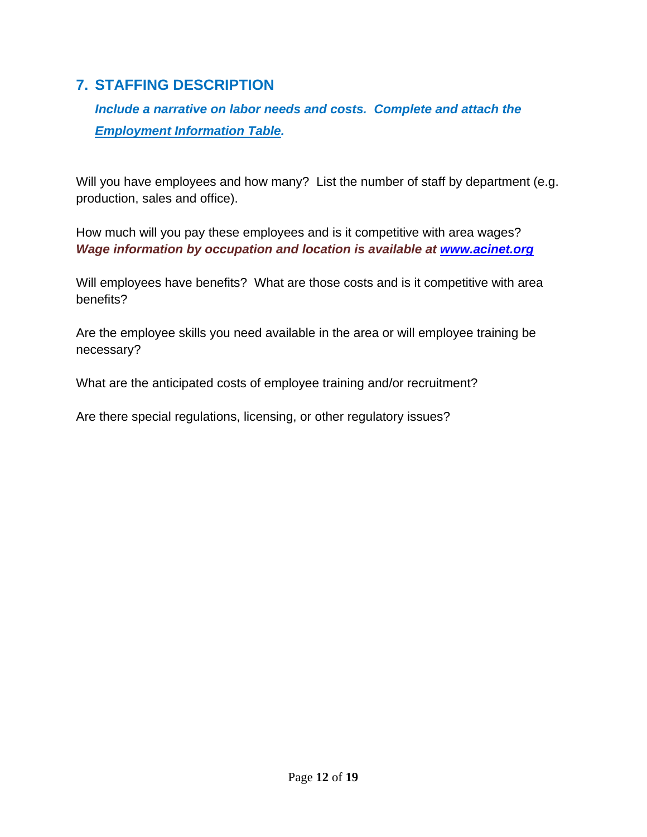## **7. STAFFING DESCRIPTION**

*Include a narrative on labor needs and costs. Complete and attach the Employment Information Table.* 

Will you have employees and how many? List the number of staff by department (e.g. production, sales and office).

How much will you pay these employees and is it competitive with area wages? *Wage information by occupation and location is available at www.acinet.org*

Will employees have benefits? What are those costs and is it competitive with area benefits?

Are the employee skills you need available in the area or will employee training be necessary?

What are the anticipated costs of employee training and/or recruitment?

Are there special regulations, licensing, or other regulatory issues?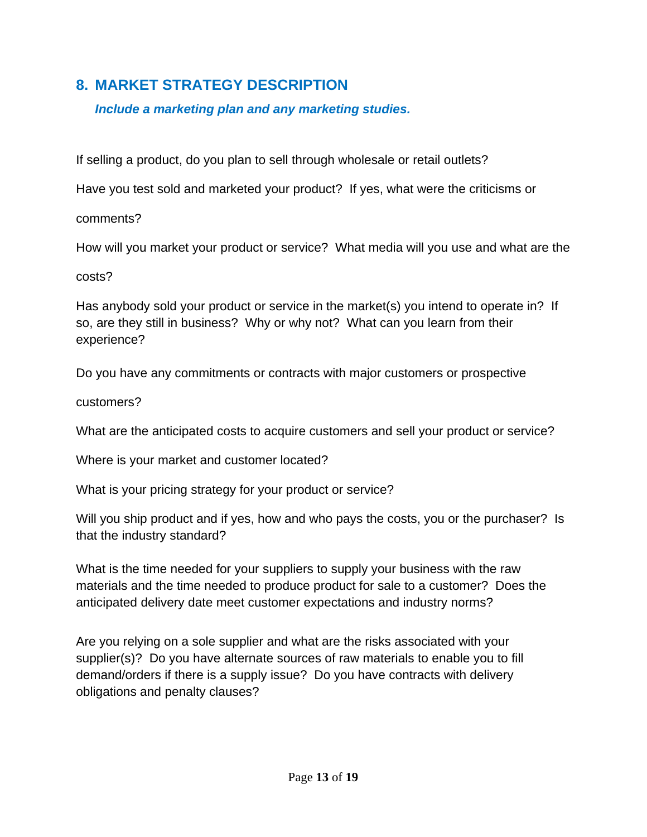## **8. MARKET STRATEGY DESCRIPTION**

*Include a marketing plan and any marketing studies.* 

If selling a product, do you plan to sell through wholesale or retail outlets?

Have you test sold and marketed your product? If yes, what were the criticisms or

comments?

How will you market your product or service? What media will you use and what are the

costs?

Has anybody sold your product or service in the market(s) you intend to operate in? If so, are they still in business? Why or why not? What can you learn from their experience?

Do you have any commitments or contracts with major customers or prospective

customers?

What are the anticipated costs to acquire customers and sell your product or service?

Where is your market and customer located?

What is your pricing strategy for your product or service?

Will you ship product and if yes, how and who pays the costs, you or the purchaser? Is that the industry standard?

What is the time needed for your suppliers to supply your business with the raw materials and the time needed to produce product for sale to a customer? Does the anticipated delivery date meet customer expectations and industry norms?

Are you relying on a sole supplier and what are the risks associated with your supplier(s)? Do you have alternate sources of raw materials to enable you to fill demand/orders if there is a supply issue? Do you have contracts with delivery obligations and penalty clauses?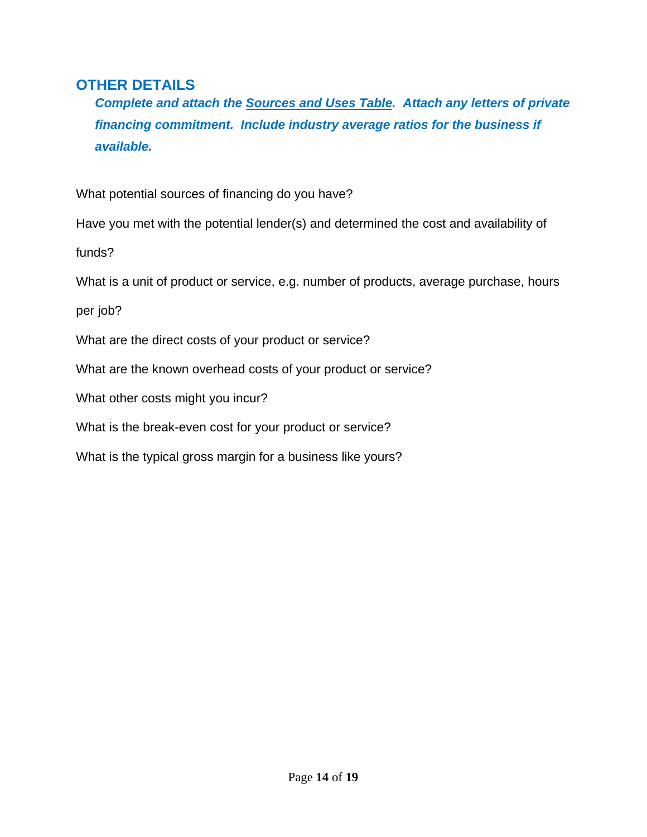#### **OTHER DETAILS**

*Complete and attach the Sources and Uses Table. Attach any letters of private financing commitment. Include industry average ratios for the business if available.* 

What potential sources of financing do you have?

Have you met with the potential lender(s) and determined the cost and availability of

funds?

What is a unit of product or service, e.g. number of products, average purchase, hours

per job?

What are the direct costs of your product or service?

What are the known overhead costs of your product or service?

What other costs might you incur?

What is the break-even cost for your product or service?

What is the typical gross margin for a business like yours?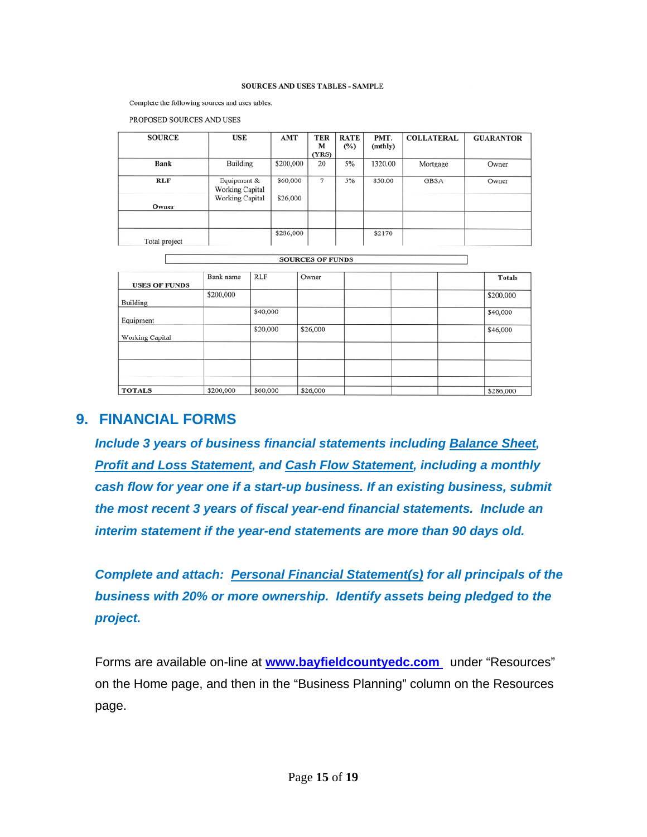#### SOURCES AND USES TABLES - SAMPLE

Complete the following sources and uses tables.

PROPOSED SOURCES AND USES

| <b>SOURCE</b> | <b>USE</b>             | AMT       | <b>TER</b> | <b>RATE</b> | PMT.    | <b>COLLATERAL</b> | <b>GUARANTOR</b> |
|---------------|------------------------|-----------|------------|-------------|---------|-------------------|------------------|
|               |                        |           | м          | $(\%)$      | (mthly) |                   |                  |
|               |                        |           | (YRS)      |             |         |                   |                  |
| <b>Bank</b>   | Building               | \$200,000 | 20         | 5%          | 1320.00 | Mortgage          | Owner            |
|               |                        |           |            |             |         |                   |                  |
| <b>RLF</b>    | Equipment &            | \$60,000  | 7          | 5%          | 850.00  | <b>GBSA</b>       | Owner            |
|               | <b>Working Capital</b> |           |            |             |         |                   |                  |
|               | <b>Working Capital</b> | \$26,000  |            |             |         |                   |                  |
| Owner         |                        |           |            |             |         |                   |                  |
|               |                        |           |            |             |         |                   |                  |
|               |                        |           |            |             |         |                   |                  |
|               |                        | \$286,000 |            |             | \$2170  |                   |                  |
| Total project |                        |           |            |             |         |                   |                  |

SOURCES OF FUNDS

| <b>USES OF FUNDS</b> | Bank name | <b>RLF</b> | Owner    |  |                   |  | <b>Totals</b> |  |  |
|----------------------|-----------|------------|----------|--|-------------------|--|---------------|--|--|
| Building             | \$200,000 |            |          |  |                   |  | \$200,000     |  |  |
| Equipment            |           | \$40,000   |          |  |                   |  | \$40,000      |  |  |
| Working Capital      |           | \$20,000   | \$26,000 |  |                   |  | \$46,000      |  |  |
|                      |           |            |          |  |                   |  |               |  |  |
|                      |           |            |          |  |                   |  |               |  |  |
|                      |           |            |          |  | <b>COLLECTION</b> |  |               |  |  |
| <b>TOTALS</b>        | \$200,000 | \$60,000   | \$26,000 |  |                   |  | \$286,000     |  |  |

#### **9. FINANCIAL FORMS**

*Include 3 years of business financial statements including Balance Sheet, Profit and Loss Statement, and Cash Flow Statement, including a monthly cash flow for year one if a start-up business. If an existing business, submit the most recent 3 years of fiscal year-end financial statements. Include an interim statement if the year-end statements are more than 90 days old.* 

*Complete and attach: Personal Financial Statement(s) for all principals of the business with 20% or more ownership. Identify assets being pledged to the project.* 

Forms are available on-line at **www.bayfieldcountyedc.com** under "Resources" on the Home page, and then in the "Business Planning" column on the Resources page.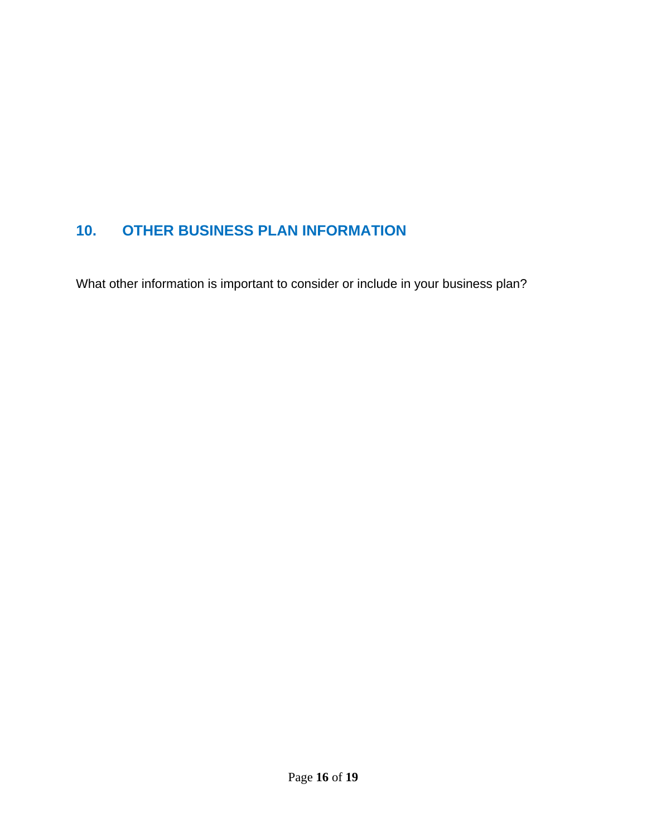# **10. OTHER BUSINESS PLAN INFORMATION**

What other information is important to consider or include in your business plan?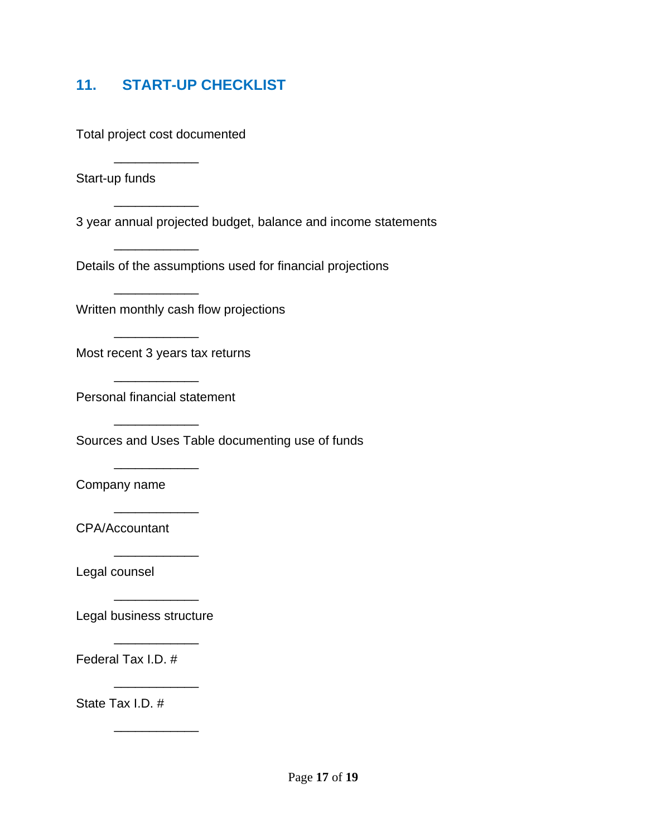### **11. START-UP CHECKLIST**

Total project cost documented

Start-up funds

 $\overline{\phantom{a}}$  ,  $\overline{\phantom{a}}$  ,  $\overline{\phantom{a}}$  ,  $\overline{\phantom{a}}$  ,  $\overline{\phantom{a}}$  ,  $\overline{\phantom{a}}$  ,  $\overline{\phantom{a}}$  ,  $\overline{\phantom{a}}$  ,  $\overline{\phantom{a}}$  ,  $\overline{\phantom{a}}$  ,  $\overline{\phantom{a}}$  ,  $\overline{\phantom{a}}$  ,  $\overline{\phantom{a}}$  ,  $\overline{\phantom{a}}$  ,  $\overline{\phantom{a}}$  ,  $\overline{\phantom{a}}$ 

 $\overline{\phantom{a}}$  ,  $\overline{\phantom{a}}$  ,  $\overline{\phantom{a}}$  ,  $\overline{\phantom{a}}$  ,  $\overline{\phantom{a}}$  ,  $\overline{\phantom{a}}$  ,  $\overline{\phantom{a}}$  ,  $\overline{\phantom{a}}$  ,  $\overline{\phantom{a}}$  ,  $\overline{\phantom{a}}$  ,  $\overline{\phantom{a}}$  ,  $\overline{\phantom{a}}$  ,  $\overline{\phantom{a}}$  ,  $\overline{\phantom{a}}$  ,  $\overline{\phantom{a}}$  ,  $\overline{\phantom{a}}$ 

 $\overline{\phantom{a}}$  ,  $\overline{\phantom{a}}$  ,  $\overline{\phantom{a}}$  ,  $\overline{\phantom{a}}$  ,  $\overline{\phantom{a}}$  ,  $\overline{\phantom{a}}$  ,  $\overline{\phantom{a}}$  ,  $\overline{\phantom{a}}$  ,  $\overline{\phantom{a}}$  ,  $\overline{\phantom{a}}$  ,  $\overline{\phantom{a}}$  ,  $\overline{\phantom{a}}$  ,  $\overline{\phantom{a}}$  ,  $\overline{\phantom{a}}$  ,  $\overline{\phantom{a}}$  ,  $\overline{\phantom{a}}$ 

 $\overline{\phantom{a}}$  ,  $\overline{\phantom{a}}$  ,  $\overline{\phantom{a}}$  ,  $\overline{\phantom{a}}$  ,  $\overline{\phantom{a}}$  ,  $\overline{\phantom{a}}$  ,  $\overline{\phantom{a}}$  ,  $\overline{\phantom{a}}$  ,  $\overline{\phantom{a}}$  ,  $\overline{\phantom{a}}$  ,  $\overline{\phantom{a}}$  ,  $\overline{\phantom{a}}$  ,  $\overline{\phantom{a}}$  ,  $\overline{\phantom{a}}$  ,  $\overline{\phantom{a}}$  ,  $\overline{\phantom{a}}$ 

 $\overline{\phantom{a}}$  ,  $\overline{\phantom{a}}$  ,  $\overline{\phantom{a}}$  ,  $\overline{\phantom{a}}$  ,  $\overline{\phantom{a}}$  ,  $\overline{\phantom{a}}$  ,  $\overline{\phantom{a}}$  ,  $\overline{\phantom{a}}$  ,  $\overline{\phantom{a}}$  ,  $\overline{\phantom{a}}$  ,  $\overline{\phantom{a}}$  ,  $\overline{\phantom{a}}$  ,  $\overline{\phantom{a}}$  ,  $\overline{\phantom{a}}$  ,  $\overline{\phantom{a}}$  ,  $\overline{\phantom{a}}$ 

 $\overline{\phantom{a}}$  ,  $\overline{\phantom{a}}$  ,  $\overline{\phantom{a}}$  ,  $\overline{\phantom{a}}$  ,  $\overline{\phantom{a}}$  ,  $\overline{\phantom{a}}$  ,  $\overline{\phantom{a}}$  ,  $\overline{\phantom{a}}$  ,  $\overline{\phantom{a}}$  ,  $\overline{\phantom{a}}$  ,  $\overline{\phantom{a}}$  ,  $\overline{\phantom{a}}$  ,  $\overline{\phantom{a}}$  ,  $\overline{\phantom{a}}$  ,  $\overline{\phantom{a}}$  ,  $\overline{\phantom{a}}$ 

 $\overline{\phantom{a}}$  ,  $\overline{\phantom{a}}$  ,  $\overline{\phantom{a}}$  ,  $\overline{\phantom{a}}$  ,  $\overline{\phantom{a}}$  ,  $\overline{\phantom{a}}$  ,  $\overline{\phantom{a}}$  ,  $\overline{\phantom{a}}$  ,  $\overline{\phantom{a}}$  ,  $\overline{\phantom{a}}$  ,  $\overline{\phantom{a}}$  ,  $\overline{\phantom{a}}$  ,  $\overline{\phantom{a}}$  ,  $\overline{\phantom{a}}$  ,  $\overline{\phantom{a}}$  ,  $\overline{\phantom{a}}$ 

 $\overline{\phantom{a}}$  ,  $\overline{\phantom{a}}$  ,  $\overline{\phantom{a}}$  ,  $\overline{\phantom{a}}$  ,  $\overline{\phantom{a}}$  ,  $\overline{\phantom{a}}$  ,  $\overline{\phantom{a}}$  ,  $\overline{\phantom{a}}$  ,  $\overline{\phantom{a}}$  ,  $\overline{\phantom{a}}$  ,  $\overline{\phantom{a}}$  ,  $\overline{\phantom{a}}$  ,  $\overline{\phantom{a}}$  ,  $\overline{\phantom{a}}$  ,  $\overline{\phantom{a}}$  ,  $\overline{\phantom{a}}$ 

 $\overline{\phantom{a}}$  ,  $\overline{\phantom{a}}$  ,  $\overline{\phantom{a}}$  ,  $\overline{\phantom{a}}$  ,  $\overline{\phantom{a}}$  ,  $\overline{\phantom{a}}$  ,  $\overline{\phantom{a}}$  ,  $\overline{\phantom{a}}$  ,  $\overline{\phantom{a}}$  ,  $\overline{\phantom{a}}$  ,  $\overline{\phantom{a}}$  ,  $\overline{\phantom{a}}$  ,  $\overline{\phantom{a}}$  ,  $\overline{\phantom{a}}$  ,  $\overline{\phantom{a}}$  ,  $\overline{\phantom{a}}$ 

 $\overline{\phantom{a}}$  ,  $\overline{\phantom{a}}$  ,  $\overline{\phantom{a}}$  ,  $\overline{\phantom{a}}$  ,  $\overline{\phantom{a}}$  ,  $\overline{\phantom{a}}$  ,  $\overline{\phantom{a}}$  ,  $\overline{\phantom{a}}$  ,  $\overline{\phantom{a}}$  ,  $\overline{\phantom{a}}$  ,  $\overline{\phantom{a}}$  ,  $\overline{\phantom{a}}$  ,  $\overline{\phantom{a}}$  ,  $\overline{\phantom{a}}$  ,  $\overline{\phantom{a}}$  ,  $\overline{\phantom{a}}$ 

 $\overline{\phantom{a}}$  ,  $\overline{\phantom{a}}$  ,  $\overline{\phantom{a}}$  ,  $\overline{\phantom{a}}$  ,  $\overline{\phantom{a}}$  ,  $\overline{\phantom{a}}$  ,  $\overline{\phantom{a}}$  ,  $\overline{\phantom{a}}$  ,  $\overline{\phantom{a}}$  ,  $\overline{\phantom{a}}$  ,  $\overline{\phantom{a}}$  ,  $\overline{\phantom{a}}$  ,  $\overline{\phantom{a}}$  ,  $\overline{\phantom{a}}$  ,  $\overline{\phantom{a}}$  ,  $\overline{\phantom{a}}$ 

 $\overline{\phantom{a}}$  ,  $\overline{\phantom{a}}$  ,  $\overline{\phantom{a}}$  ,  $\overline{\phantom{a}}$  ,  $\overline{\phantom{a}}$  ,  $\overline{\phantom{a}}$  ,  $\overline{\phantom{a}}$  ,  $\overline{\phantom{a}}$  ,  $\overline{\phantom{a}}$  ,  $\overline{\phantom{a}}$  ,  $\overline{\phantom{a}}$  ,  $\overline{\phantom{a}}$  ,  $\overline{\phantom{a}}$  ,  $\overline{\phantom{a}}$  ,  $\overline{\phantom{a}}$  ,  $\overline{\phantom{a}}$ 

 $\overline{\phantom{a}}$  ,  $\overline{\phantom{a}}$  ,  $\overline{\phantom{a}}$  ,  $\overline{\phantom{a}}$  ,  $\overline{\phantom{a}}$  ,  $\overline{\phantom{a}}$  ,  $\overline{\phantom{a}}$  ,  $\overline{\phantom{a}}$  ,  $\overline{\phantom{a}}$  ,  $\overline{\phantom{a}}$  ,  $\overline{\phantom{a}}$  ,  $\overline{\phantom{a}}$  ,  $\overline{\phantom{a}}$  ,  $\overline{\phantom{a}}$  ,  $\overline{\phantom{a}}$  ,  $\overline{\phantom{a}}$ 

 $\overline{\phantom{a}}$  ,  $\overline{\phantom{a}}$  ,  $\overline{\phantom{a}}$  ,  $\overline{\phantom{a}}$  ,  $\overline{\phantom{a}}$  ,  $\overline{\phantom{a}}$  ,  $\overline{\phantom{a}}$  ,  $\overline{\phantom{a}}$  ,  $\overline{\phantom{a}}$  ,  $\overline{\phantom{a}}$  ,  $\overline{\phantom{a}}$  ,  $\overline{\phantom{a}}$  ,  $\overline{\phantom{a}}$  ,  $\overline{\phantom{a}}$  ,  $\overline{\phantom{a}}$  ,  $\overline{\phantom{a}}$ 

3 year annual projected budget, balance and income statements

Details of the assumptions used for financial projections

Written monthly cash flow projections

Most recent 3 years tax returns

Personal financial statement

Sources and Uses Table documenting use of funds

Company name

CPA/Accountant

Legal counsel

Legal business structure

Federal Tax I.D. #

State Tax I.D. #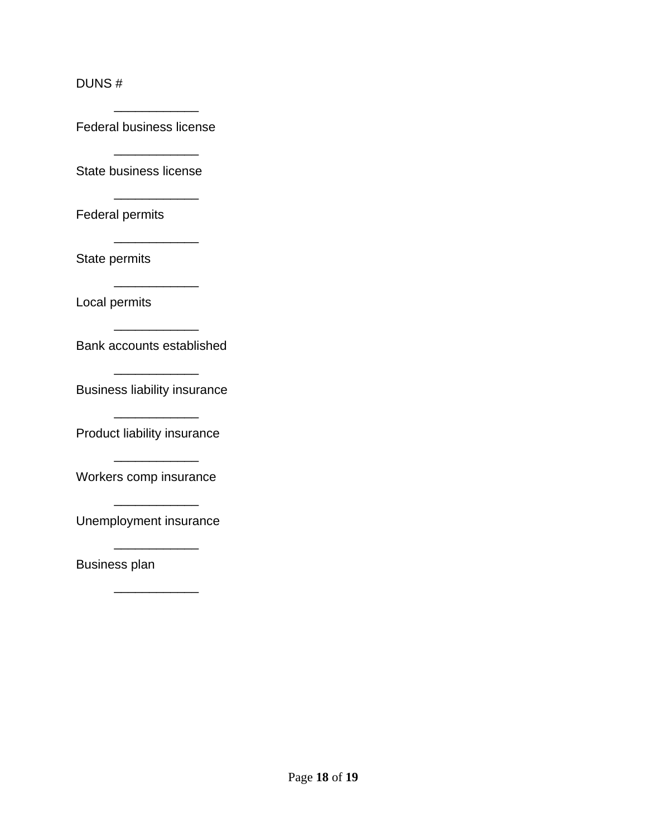#### DUNS #

Federal business license

 $\overline{\phantom{a}}$  ,  $\overline{\phantom{a}}$  ,  $\overline{\phantom{a}}$  ,  $\overline{\phantom{a}}$  ,  $\overline{\phantom{a}}$  ,  $\overline{\phantom{a}}$  ,  $\overline{\phantom{a}}$  ,  $\overline{\phantom{a}}$  ,  $\overline{\phantom{a}}$  ,  $\overline{\phantom{a}}$  ,  $\overline{\phantom{a}}$  ,  $\overline{\phantom{a}}$  ,  $\overline{\phantom{a}}$  ,  $\overline{\phantom{a}}$  ,  $\overline{\phantom{a}}$  ,  $\overline{\phantom{a}}$ 

 $\overline{\phantom{a}}$  , and the contract of the contract of the contract of the contract of the contract of the contract of the contract of the contract of the contract of the contract of the contract of the contract of the contrac State business license

 $\overline{\phantom{a}}$  ,  $\overline{\phantom{a}}$  ,  $\overline{\phantom{a}}$  ,  $\overline{\phantom{a}}$  ,  $\overline{\phantom{a}}$  ,  $\overline{\phantom{a}}$  ,  $\overline{\phantom{a}}$  ,  $\overline{\phantom{a}}$  ,  $\overline{\phantom{a}}$  ,  $\overline{\phantom{a}}$  ,  $\overline{\phantom{a}}$  ,  $\overline{\phantom{a}}$  ,  $\overline{\phantom{a}}$  ,  $\overline{\phantom{a}}$  ,  $\overline{\phantom{a}}$  ,  $\overline{\phantom{a}}$ 

 $\overline{\phantom{a}}$  , and the contract of the contract of the contract of the contract of the contract of the contract of the contract of the contract of the contract of the contract of the contract of the contract of the contrac

 $\overline{\phantom{a}}$  ,  $\overline{\phantom{a}}$  ,  $\overline{\phantom{a}}$  ,  $\overline{\phantom{a}}$  ,  $\overline{\phantom{a}}$  ,  $\overline{\phantom{a}}$  ,  $\overline{\phantom{a}}$  ,  $\overline{\phantom{a}}$  ,  $\overline{\phantom{a}}$  ,  $\overline{\phantom{a}}$  ,  $\overline{\phantom{a}}$  ,  $\overline{\phantom{a}}$  ,  $\overline{\phantom{a}}$  ,  $\overline{\phantom{a}}$  ,  $\overline{\phantom{a}}$  ,  $\overline{\phantom{a}}$ 

 $\overline{\phantom{a}}$  , and the contract of the contract of the contract of the contract of the contract of the contract of the contract of the contract of the contract of the contract of the contract of the contract of the contrac

 $\overline{\phantom{a}}$  ,  $\overline{\phantom{a}}$  ,  $\overline{\phantom{a}}$  ,  $\overline{\phantom{a}}$  ,  $\overline{\phantom{a}}$  ,  $\overline{\phantom{a}}$  ,  $\overline{\phantom{a}}$  ,  $\overline{\phantom{a}}$  ,  $\overline{\phantom{a}}$  ,  $\overline{\phantom{a}}$  ,  $\overline{\phantom{a}}$  ,  $\overline{\phantom{a}}$  ,  $\overline{\phantom{a}}$  ,  $\overline{\phantom{a}}$  ,  $\overline{\phantom{a}}$  ,  $\overline{\phantom{a}}$ 

 $\overline{\phantom{a}}$  , and the contract of the contract of the contract of the contract of the contract of the contract of the contract of the contract of the contract of the contract of the contract of the contract of the contrac

 $\overline{\phantom{a}}$  , and the contract of the contract of the contract of the contract of the contract of the contract of the contract of the contract of the contract of the contract of the contract of the contract of the contrac

 $\overline{\phantom{a}}$  ,  $\overline{\phantom{a}}$  ,  $\overline{\phantom{a}}$  ,  $\overline{\phantom{a}}$  ,  $\overline{\phantom{a}}$  ,  $\overline{\phantom{a}}$  ,  $\overline{\phantom{a}}$  ,  $\overline{\phantom{a}}$  ,  $\overline{\phantom{a}}$  ,  $\overline{\phantom{a}}$  ,  $\overline{\phantom{a}}$  ,  $\overline{\phantom{a}}$  ,  $\overline{\phantom{a}}$  ,  $\overline{\phantom{a}}$  ,  $\overline{\phantom{a}}$  ,  $\overline{\phantom{a}}$ 

 $\overline{\phantom{a}}$  , and the contract of the contract of the contract of the contract of the contract of the contract of the contract of the contract of the contract of the contract of the contract of the contract of the contrac

 $\overline{\phantom{a}}$ 

Federal permits

State permits

Local permits

Bank accounts established

Business liability insurance

Product liability insurance

Workers comp insurance

Unemployment insurance

Business plan